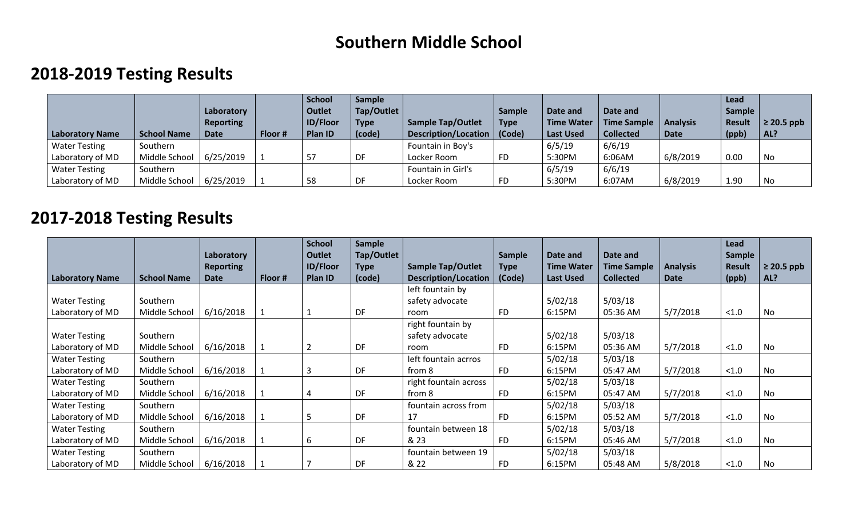## **Southern Middle School**

## **2018-2019 Testing Results**

| Laboratory Name      | <b>School Name</b> | Laboratory<br><b>Reporting</b><br><b>Date</b> | Floor # | <b>School</b><br><b>Outlet</b><br><b>ID/Floor</b><br><b>Plan ID</b> | <b>Sample</b><br>Tap/Outlet<br>Type<br>(code) | <b>Sample Tap/Outlet</b><br>Description/Location | <b>Sample</b><br><b>Type</b><br>  (Code) | Date and<br><b>Time Water</b><br><b>Last Used</b> | Date and<br><b>Time Sample</b><br><b>Collected</b> | <b>Analysis</b><br>Date | Lead<br><b>Sample</b><br>Result<br>(ppb) | $\geq$ 20.5 ppb<br>AL? |
|----------------------|--------------------|-----------------------------------------------|---------|---------------------------------------------------------------------|-----------------------------------------------|--------------------------------------------------|------------------------------------------|---------------------------------------------------|----------------------------------------------------|-------------------------|------------------------------------------|------------------------|
| <b>Water Testing</b> | Southern           |                                               |         |                                                                     |                                               | Fountain in Boy's                                |                                          | 6/5/19                                            | 6/6/19                                             |                         |                                          |                        |
| Laboratory of MD     | Middle School      | 6/25/2019                                     |         |                                                                     | DF                                            | Locker Room                                      | FD                                       | 5:30PM                                            | 6:06AM                                             | 6/8/2019                | 0.00                                     | No                     |
| <b>Water Testing</b> | Southern           |                                               |         |                                                                     |                                               | Fountain in Girl's                               |                                          | 6/5/19                                            | 6/6/19                                             |                         |                                          |                        |
| Laboratory of MD     | Middle School      | 6/25/2019                                     |         | 58                                                                  | DF                                            | Locker Room                                      | FD                                       | 5:30PM                                            | 6:07AM                                             | 6/8/2019                | 1.90                                     | No                     |

## **2017-2018 Testing Results**

|                        |                    | Laboratory       |         | <b>School</b><br><b>Outlet</b> | <b>Sample</b><br>Tap/Outlet |                             | <b>Sample</b> | Date and          | Date and           |                 | Lead<br><b>Sample</b> |                 |
|------------------------|--------------------|------------------|---------|--------------------------------|-----------------------------|-----------------------------|---------------|-------------------|--------------------|-----------------|-----------------------|-----------------|
|                        |                    | <b>Reporting</b> |         | <b>ID/Floor</b>                | <b>Type</b>                 | <b>Sample Tap/Outlet</b>    | <b>Type</b>   | <b>Time Water</b> | <b>Time Sample</b> | <b>Analysis</b> | Result                | $\geq$ 20.5 ppb |
| <b>Laboratory Name</b> | <b>School Name</b> | <b>Date</b>      | Floor # | Plan ID                        | (code)                      | <b>Description/Location</b> | (Code)        | <b>Last Used</b>  | <b>Collected</b>   | Date            | (ppb)                 | AL?             |
|                        |                    |                  |         |                                |                             | left fountain by            |               |                   |                    |                 |                       |                 |
| <b>Water Testing</b>   | Southern           |                  |         |                                |                             | safety advocate             |               | 5/02/18           | 5/03/18            |                 |                       |                 |
| Laboratory of MD       | Middle School      | 6/16/2018        |         |                                | DF                          | room                        | FD.           | 6:15PM            | 05:36 AM           | 5/7/2018        | < 1.0                 | No              |
|                        |                    |                  |         |                                |                             | right fountain by           |               |                   |                    |                 |                       |                 |
| <b>Water Testing</b>   | Southern           |                  |         |                                |                             | safety advocate             |               | 5/02/18           | 5/03/18            |                 |                       |                 |
| Laboratory of MD       | Middle School      | 6/16/2018        |         |                                | DF                          | room                        | <b>FD</b>     | 6:15PM            | 05:36 AM           | 5/7/2018        | < 1.0                 | No              |
| <b>Water Testing</b>   | Southern           |                  |         |                                |                             | left fountain acrros        |               | 5/02/18           | 5/03/18            |                 |                       |                 |
| Laboratory of MD       | Middle School      | 6/16/2018        |         | 3                              | DF                          | from 8                      | <b>FD</b>     | 6:15PM            | 05:47 AM           | 5/7/2018        | < 1.0                 | No              |
| <b>Water Testing</b>   | Southern           |                  |         |                                |                             | right fountain across       |               | 5/02/18           | 5/03/18            |                 |                       |                 |
| Laboratory of MD       | Middle School      | 6/16/2018        |         |                                | DF                          | from 8                      | <b>FD</b>     | 6:15PM            | 05:47 AM           | 5/7/2018        | < 1.0                 | No              |
| <b>Water Testing</b>   | Southern           |                  |         |                                |                             | fountain across from        |               | 5/02/18           | 5/03/18            |                 |                       |                 |
| Laboratory of MD       | Middle School      | 6/16/2018        |         | -5                             | DF                          | 17                          | FD.           | 6:15PM            | 05:52 AM           | 5/7/2018        | < 1.0                 | No              |
| <b>Water Testing</b>   | Southern           |                  |         |                                |                             | fountain between 18         |               | 5/02/18           | 5/03/18            |                 |                       |                 |
| Laboratory of MD       | Middle School      | 6/16/2018        |         | 6                              | DF                          | & 23                        | <b>FD</b>     | 6:15PM            | 05:46 AM           | 5/7/2018        | < 1.0                 | No              |
| <b>Water Testing</b>   | Southern           |                  |         |                                |                             | fountain between 19         |               | 5/02/18           | 5/03/18            |                 |                       |                 |
| Laboratory of MD       | Middle School      | 6/16/2018        |         |                                | DF                          | & 22                        | <b>FD</b>     | 6:15PM            | 05:48 AM           | 5/8/2018        | < 1.0                 | No              |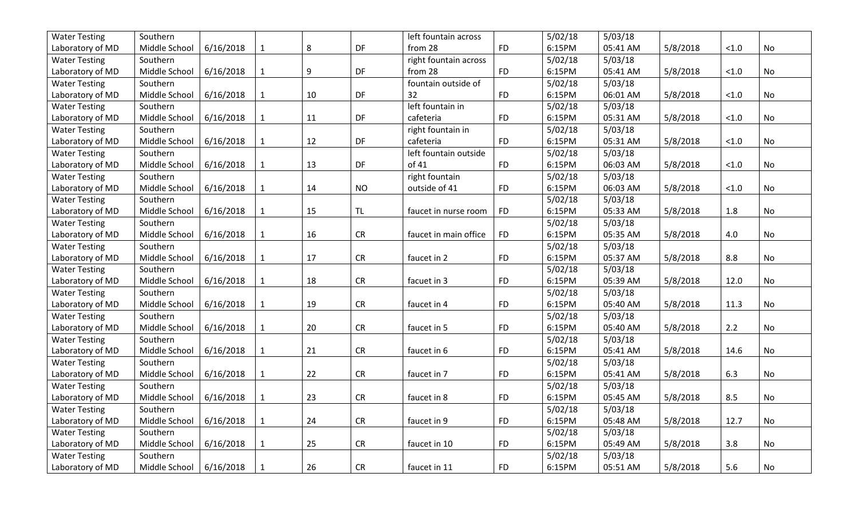| <b>Water Testing</b> | Southern                  |           |              |        |            | left fountain across  |           | 5/02/18 | 5/03/18  |          |        |           |
|----------------------|---------------------------|-----------|--------------|--------|------------|-----------------------|-----------|---------|----------|----------|--------|-----------|
| Laboratory of MD     | Middle School             | 6/16/2018 | $\mathbf{1}$ | 8      | DF         | from 28               | <b>FD</b> | 6:15PM  | 05:41 AM | 5/8/2018 | < 1.0  | <b>No</b> |
| <b>Water Testing</b> | Southern                  |           |              |        |            | right fountain across |           | 5/02/18 | 5/03/18  |          |        |           |
| Laboratory of MD     | Middle School             | 6/16/2018 | $\mathbf{1}$ | 9      | DF         | from 28               | <b>FD</b> | 6:15PM  | 05:41 AM | 5/8/2018 | < 1.0  | No        |
| <b>Water Testing</b> | Southern                  |           |              |        |            | fountain outside of   |           | 5/02/18 | 5/03/18  |          |        |           |
| Laboratory of MD     | Middle School             | 6/16/2018 | $\mathbf 1$  | 10     | DF         | 32                    | <b>FD</b> | 6:15PM  | 06:01 AM | 5/8/2018 | < 1.0  | No        |
| <b>Water Testing</b> | Southern                  |           |              |        |            | left fountain in      |           | 5/02/18 | 5/03/18  |          |        |           |
| Laboratory of MD     | Middle School             | 6/16/2018 | $\mathbf{1}$ | $11\,$ | DF         | cafeteria             | <b>FD</b> | 6:15PM  | 05:31 AM | 5/8/2018 | $<1.0$ | No        |
| <b>Water Testing</b> | Southern                  |           |              |        |            | right fountain in     |           | 5/02/18 | 5/03/18  |          |        |           |
| Laboratory of MD     | Middle School             | 6/16/2018 | $\mathbf{1}$ | 12     | DF         | cafeteria             | <b>FD</b> | 6:15PM  | 05:31 AM | 5/8/2018 | $<1.0$ | No        |
| <b>Water Testing</b> | Southern                  |           |              |        |            | left fountain outside |           | 5/02/18 | 5/03/18  |          |        |           |
| Laboratory of MD     | Middle School             | 6/16/2018 | $\mathbf{1}$ | 13     | DF         | of 41                 | <b>FD</b> | 6:15PM  | 06:03 AM | 5/8/2018 | < 1.0  | No        |
| <b>Water Testing</b> | Southern                  |           |              |        |            | right fountain        |           | 5/02/18 | 5/03/18  |          |        |           |
| Laboratory of MD     | Middle School             | 6/16/2018 | $\mathbf{1}$ | 14     | <b>NO</b>  | outside of 41         | <b>FD</b> | 6:15PM  | 06:03 AM | 5/8/2018 | $<1.0$ | No        |
| <b>Water Testing</b> | Southern                  |           |              |        |            |                       |           | 5/02/18 | 5/03/18  |          |        |           |
| Laboratory of MD     | Middle School             | 6/16/2018 | $\mathbf{1}$ | 15     | TL         | faucet in nurse room  | <b>FD</b> | 6:15PM  | 05:33 AM | 5/8/2018 | 1.8    | No        |
| <b>Water Testing</b> | Southern                  |           |              |        |            |                       |           | 5/02/18 | 5/03/18  |          |        |           |
| Laboratory of MD     | Middle School             | 6/16/2018 | $\mathbf{1}$ | 16     | ${\sf CR}$ | faucet in main office | <b>FD</b> | 6:15PM  | 05:35 AM | 5/8/2018 | 4.0    | No        |
| <b>Water Testing</b> | Southern                  |           |              |        |            |                       |           | 5/02/18 | 5/03/18  |          |        |           |
| Laboratory of MD     | Middle School             | 6/16/2018 | $\mathbf{1}$ | 17     | <b>CR</b>  | faucet in 2           | <b>FD</b> | 6:15PM  | 05:37 AM | 5/8/2018 | 8.8    | No        |
| <b>Water Testing</b> | Southern                  |           |              |        |            |                       |           | 5/02/18 | 5/03/18  |          |        |           |
| Laboratory of MD     | Middle School             | 6/16/2018 | $\mathbf{1}$ | 18     | CR         | facuet in 3           | <b>FD</b> | 6:15PM  | 05:39 AM | 5/8/2018 | 12.0   | No        |
| <b>Water Testing</b> | Southern                  |           |              |        |            |                       |           | 5/02/18 | 5/03/18  |          |        |           |
| Laboratory of MD     | Middle School             | 6/16/2018 | $\mathbf{1}$ | 19     | CR         | faucet in 4           | <b>FD</b> | 6:15PM  | 05:40 AM | 5/8/2018 | 11.3   | No        |
| <b>Water Testing</b> | Southern                  |           |              |        |            |                       |           | 5/02/18 | 5/03/18  |          |        |           |
| Laboratory of MD     | Middle School             | 6/16/2018 | $\mathbf{1}$ | 20     | CR         | faucet in 5           | <b>FD</b> | 6:15PM  | 05:40 AM | 5/8/2018 | 2.2    | No        |
| <b>Water Testing</b> | Southern                  |           |              |        |            |                       |           | 5/02/18 | 5/03/18  |          |        |           |
| Laboratory of MD     | Middle School             | 6/16/2018 | $\mathbf{1}$ | 21     | CR         | faucet in 6           | <b>FD</b> | 6:15PM  | 05:41 AM | 5/8/2018 | 14.6   | No        |
| <b>Water Testing</b> | Southern                  |           |              |        |            |                       |           | 5/02/18 | 5/03/18  |          |        |           |
| Laboratory of MD     | Middle School             | 6/16/2018 | $\mathbf{1}$ | 22     | <b>CR</b>  | faucet in 7           | <b>FD</b> | 6:15PM  | 05:41 AM | 5/8/2018 | 6.3    | No        |
| <b>Water Testing</b> | Southern                  |           |              |        |            |                       |           | 5/02/18 | 5/03/18  |          |        |           |
| Laboratory of MD     | Middle School             | 6/16/2018 | $\mathbf{1}$ | 23     | CR         | faucet in 8           | <b>FD</b> | 6:15PM  | 05:45 AM | 5/8/2018 | 8.5    | No        |
| <b>Water Testing</b> | Southern                  |           |              |        |            |                       |           | 5/02/18 | 5/03/18  |          |        |           |
| Laboratory of MD     | Middle School             | 6/16/2018 | $\mathbf{1}$ | 24     | <b>CR</b>  | faucet in 9           | <b>FD</b> | 6:15PM  | 05:48 AM | 5/8/2018 | 12.7   | No        |
| <b>Water Testing</b> | Southern                  |           |              |        |            |                       |           | 5/02/18 | 5/03/18  |          |        |           |
| Laboratory of MD     | Middle School             | 6/16/2018 | $\mathbf{1}$ | 25     | <b>CR</b>  | faucet in 10          | <b>FD</b> | 6:15PM  | 05:49 AM | 5/8/2018 | 3.8    | No        |
| <b>Water Testing</b> | Southern                  |           |              |        |            |                       |           | 5/02/18 | 5/03/18  |          |        |           |
| Laboratory of MD     | Middle School   6/16/2018 |           | $\mathbf{1}$ | 26     | <b>CR</b>  | faucet in 11          | <b>FD</b> | 6:15PM  | 05:51 AM | 5/8/2018 | 5.6    | No        |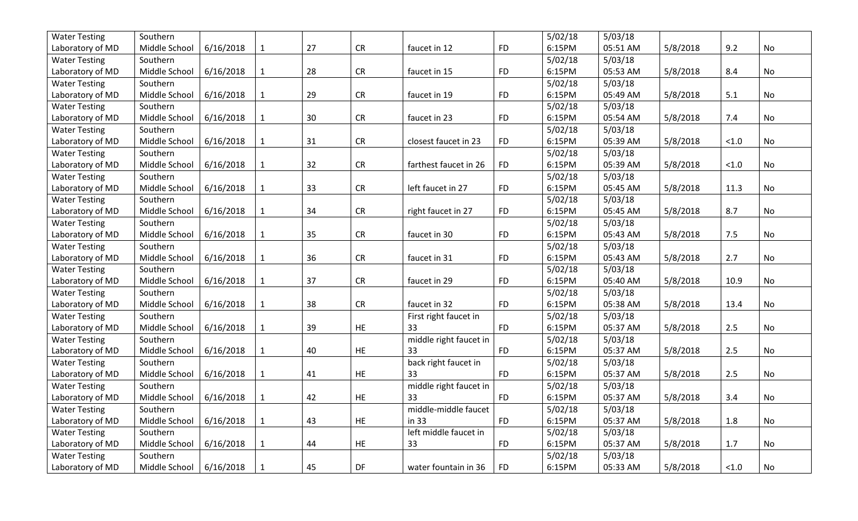| <b>Water Testing</b> | Southern                  |           |              |    |            |                        |           | 5/02/18 | 5/03/18  |          |        |           |
|----------------------|---------------------------|-----------|--------------|----|------------|------------------------|-----------|---------|----------|----------|--------|-----------|
| Laboratory of MD     | Middle School             | 6/16/2018 | $\mathbf{1}$ | 27 | CR         | faucet in 12           | <b>FD</b> | 6:15PM  | 05:51 AM | 5/8/2018 | 9.2    | <b>No</b> |
| <b>Water Testing</b> | Southern                  |           |              |    |            |                        |           | 5/02/18 | 5/03/18  |          |        |           |
| Laboratory of MD     | Middle School             | 6/16/2018 | $\mathbf{1}$ | 28 | CR         | faucet in 15           | <b>FD</b> | 6:15PM  | 05:53 AM | 5/8/2018 | 8.4    | No        |
| <b>Water Testing</b> | Southern                  |           |              |    |            |                        |           | 5/02/18 | 5/03/18  |          |        |           |
| Laboratory of MD     | Middle School             | 6/16/2018 | $\mathbf{1}$ | 29 | <b>CR</b>  | faucet in 19           | <b>FD</b> | 6:15PM  | 05:49 AM | 5/8/2018 | 5.1    | No        |
| <b>Water Testing</b> | Southern                  |           |              |    |            |                        |           | 5/02/18 | 5/03/18  |          |        |           |
| Laboratory of MD     | Middle School             | 6/16/2018 | $\mathbf{1}$ | 30 | CR         | faucet in 23           | <b>FD</b> | 6:15PM  | 05:54 AM | 5/8/2018 | 7.4    | No        |
| <b>Water Testing</b> | Southern                  |           |              |    |            |                        |           | 5/02/18 | 5/03/18  |          |        |           |
| Laboratory of MD     | Middle School             | 6/16/2018 | $\mathbf{1}$ | 31 | <b>CR</b>  | closest faucet in 23   | <b>FD</b> | 6:15PM  | 05:39 AM | 5/8/2018 | < 1.0  | No        |
| <b>Water Testing</b> | Southern                  |           |              |    |            |                        |           | 5/02/18 | 5/03/18  |          |        |           |
| Laboratory of MD     | Middle School             | 6/16/2018 | $\mathbf{1}$ | 32 | <b>CR</b>  | farthest faucet in 26  | <b>FD</b> | 6:15PM  | 05:39 AM | 5/8/2018 | < 1.0  | No        |
| <b>Water Testing</b> | Southern                  |           |              |    |            |                        |           | 5/02/18 | 5/03/18  |          |        |           |
| Laboratory of MD     | Middle School             | 6/16/2018 | $\mathbf{1}$ | 33 | <b>CR</b>  | left faucet in 27      | <b>FD</b> | 6:15PM  | 05:45 AM | 5/8/2018 | 11.3   | No        |
| <b>Water Testing</b> | Southern                  |           |              |    |            |                        |           | 5/02/18 | 5/03/18  |          |        |           |
| Laboratory of MD     | Middle School             | 6/16/2018 | $\mathbf{1}$ | 34 | ${\sf CR}$ | right faucet in 27     | <b>FD</b> | 6:15PM  | 05:45 AM | 5/8/2018 | 8.7    | <b>No</b> |
| <b>Water Testing</b> | Southern                  |           |              |    |            |                        |           | 5/02/18 | 5/03/18  |          |        |           |
| Laboratory of MD     | Middle School             | 6/16/2018 | $\mathbf{1}$ | 35 | ${\sf CR}$ | faucet in 30           | <b>FD</b> | 6:15PM  | 05:43 AM | 5/8/2018 | 7.5    | No        |
| <b>Water Testing</b> | Southern                  |           |              |    |            |                        |           | 5/02/18 | 5/03/18  |          |        |           |
| Laboratory of MD     | Middle School             | 6/16/2018 | $\mathbf{1}$ | 36 | <b>CR</b>  | faucet in 31           | <b>FD</b> | 6:15PM  | 05:43 AM | 5/8/2018 | 2.7    | No        |
| <b>Water Testing</b> | Southern                  |           |              |    |            |                        |           | 5/02/18 | 5/03/18  |          |        |           |
| Laboratory of MD     | Middle School             | 6/16/2018 | $\mathbf{1}$ | 37 | CR         | faucet in 29           | <b>FD</b> | 6:15PM  | 05:40 AM | 5/8/2018 | 10.9   | No        |
| <b>Water Testing</b> | Southern                  |           |              |    |            |                        |           | 5/02/18 | 5/03/18  |          |        |           |
| Laboratory of MD     | Middle School             | 6/16/2018 | $\mathbf{1}$ | 38 | CR         | faucet in 32           | <b>FD</b> | 6:15PM  | 05:38 AM | 5/8/2018 | 13.4   | No        |
| <b>Water Testing</b> | Southern                  |           |              |    |            | First right faucet in  |           | 5/02/18 | 5/03/18  |          |        |           |
| Laboratory of MD     | Middle School             | 6/16/2018 | $\mathbf{1}$ | 39 | <b>HE</b>  | 33                     | <b>FD</b> | 6:15PM  | 05:37 AM | 5/8/2018 | 2.5    | No        |
| <b>Water Testing</b> | Southern                  |           |              |    |            | middle right faucet in |           | 5/02/18 | 5/03/18  |          |        |           |
| Laboratory of MD     | Middle School             | 6/16/2018 | $\mathbf{1}$ | 40 | HE         | 33                     | <b>FD</b> | 6:15PM  | 05:37 AM | 5/8/2018 | 2.5    | No        |
| <b>Water Testing</b> | Southern                  |           |              |    |            | back right faucet in   |           | 5/02/18 | 5/03/18  |          |        |           |
| Laboratory of MD     | Middle School             | 6/16/2018 | $\mathbf{1}$ | 41 | <b>HE</b>  | 33                     | <b>FD</b> | 6:15PM  | 05:37 AM | 5/8/2018 | 2.5    | <b>No</b> |
| <b>Water Testing</b> | Southern                  |           |              |    |            | middle right faucet in |           | 5/02/18 | 5/03/18  |          |        |           |
| Laboratory of MD     | Middle School             | 6/16/2018 | $\mathbf{1}$ | 42 | HE         | 33                     | <b>FD</b> | 6:15PM  | 05:37 AM | 5/8/2018 | 3.4    | No        |
| <b>Water Testing</b> | Southern                  |           |              |    |            | middle-middle faucet   |           | 5/02/18 | 5/03/18  |          |        |           |
| Laboratory of MD     | Middle School             | 6/16/2018 | $\mathbf{1}$ | 43 | HE.        | in 33                  | <b>FD</b> | 6:15PM  | 05:37 AM | 5/8/2018 | 1.8    | No        |
| <b>Water Testing</b> | Southern                  |           |              |    |            | left middle faucet in  |           | 5/02/18 | 5/03/18  |          |        |           |
| Laboratory of MD     | Middle School             | 6/16/2018 | $\mathbf{1}$ | 44 | HE.        | 33                     | <b>FD</b> | 6:15PM  | 05:37 AM | 5/8/2018 | 1.7    | No        |
| <b>Water Testing</b> | Southern                  |           |              |    |            |                        |           | 5/02/18 | 5/03/18  |          |        |           |
| Laboratory of MD     | Middle School   6/16/2018 |           | $\mathbf{1}$ | 45 | DF         | water fountain in 36   | <b>FD</b> | 6:15PM  | 05:33 AM | 5/8/2018 | $<1.0$ | No        |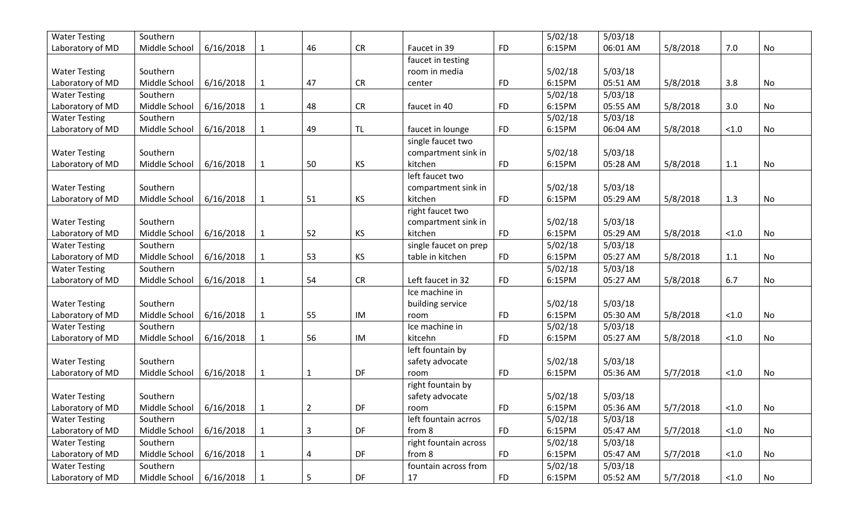| <b>Water Testing</b> | Southern      |           |              |    |            |                       |           | 5/02/18 | 5/03/18  |          |        |    |
|----------------------|---------------|-----------|--------------|----|------------|-----------------------|-----------|---------|----------|----------|--------|----|
| Laboratory of MD     | Middle School | 6/16/2018 | 1            | 46 | ${\sf CR}$ | Faucet in 39          | <b>FD</b> | 6:15PM  | 06:01 AM | 5/8/2018 | 7.0    | No |
|                      |               |           |              |    |            | faucet in testing     |           |         |          |          |        |    |
| <b>Water Testing</b> | Southern      |           |              |    |            | room in media         |           | 5/02/18 | 5/03/18  |          |        |    |
| Laboratory of MD     | Middle School | 6/16/2018 | 1            | 47 | <b>CR</b>  | center                | <b>FD</b> | 6:15PM  | 05:51 AM | 5/8/2018 | 3.8    | No |
| <b>Water Testing</b> | Southern      |           |              |    |            |                       |           | 5/02/18 | 5/03/18  |          |        |    |
| Laboratory of MD     | Middle School | 6/16/2018 | $\mathbf{1}$ | 48 | <b>CR</b>  | faucet in 40          | <b>FD</b> | 6:15PM  | 05:55 AM | 5/8/2018 | 3.0    | No |
| <b>Water Testing</b> | Southern      |           |              |    |            |                       |           | 5/02/18 | 5/03/18  |          |        |    |
| Laboratory of MD     | Middle School | 6/16/2018 |              | 49 | <b>TL</b>  | faucet in lounge      | <b>FD</b> | 6:15PM  | 06:04 AM | 5/8/2018 | < 1.0  | No |
|                      |               |           |              |    |            | single faucet two     |           |         |          |          |        |    |
| <b>Water Testing</b> | Southern      |           |              |    |            | compartment sink in   |           | 5/02/18 | 5/03/18  |          |        |    |
| Laboratory of MD     | Middle School | 6/16/2018 | 1            | 50 | KS         | kitchen               | <b>FD</b> | 6:15PM  | 05:28 AM | 5/8/2018 | 1.1    | No |
|                      |               |           |              |    |            | left faucet two       |           |         |          |          |        |    |
| <b>Water Testing</b> | Southern      |           |              |    |            | compartment sink in   |           | 5/02/18 | 5/03/18  |          |        |    |
| Laboratory of MD     | Middle School | 6/16/2018 | 1            | 51 | KS         | kitchen               | <b>FD</b> | 6:15PM  | 05:29 AM | 5/8/2018 | 1.3    | No |
|                      |               |           |              |    |            | right faucet two      |           |         |          |          |        |    |
| <b>Water Testing</b> | Southern      |           |              |    |            | compartment sink in   |           | 5/02/18 | 5/03/18  |          |        |    |
| Laboratory of MD     | Middle School | 6/16/2018 | 1            | 52 | KS         | kitchen               | <b>FD</b> | 6:15PM  | 05:29 AM | 5/8/2018 | < 1.0  | No |
| <b>Water Testing</b> | Southern      |           |              |    |            | single faucet on prep |           | 5/02/18 | 5/03/18  |          |        |    |
| Laboratory of MD     | Middle School | 6/16/2018 | $\mathbf{1}$ | 53 | KS         | table in kitchen      | <b>FD</b> | 6:15PM  | 05:27 AM | 5/8/2018 | 1.1    | No |
| <b>Water Testing</b> | Southern      |           |              |    |            |                       |           | 5/02/18 | 5/03/18  |          |        |    |
| Laboratory of MD     | Middle School | 6/16/2018 |              | 54 | <b>CR</b>  | Left faucet in 32     | <b>FD</b> | 6:15PM  | 05:27 AM | 5/8/2018 | 6.7    | No |
|                      |               |           |              |    |            | Ice machine in        |           |         |          |          |        |    |
| <b>Water Testing</b> | Southern      |           |              |    |            | building service      |           | 5/02/18 | 5/03/18  |          |        |    |
| Laboratory of MD     | Middle School | 6/16/2018 | 1            | 55 | IM         | room                  | <b>FD</b> | 6:15PM  | 05:30 AM | 5/8/2018 | < 1.0  | No |
| <b>Water Testing</b> | Southern      |           |              |    |            | Ice machine in        |           | 5/02/18 | 5/03/18  |          |        |    |
| Laboratory of MD     | Middle School | 6/16/2018 | 1            | 56 | IM         | kitcehn               | <b>FD</b> | 6:15PM  | 05:27 AM | 5/8/2018 | < 1.0  | No |
|                      |               |           |              |    |            | left fountain by      |           |         |          |          |        |    |
| <b>Water Testing</b> | Southern      |           |              |    |            | safety advocate       |           | 5/02/18 | 5/03/18  |          |        |    |
| Laboratory of MD     | Middle School | 6/16/2018 | 1            | 1  | DF         | room                  | <b>FD</b> | 6:15PM  | 05:36 AM | 5/7/2018 | < 1.0  | No |
|                      |               |           |              |    |            | right fountain by     |           |         |          |          |        |    |
| <b>Water Testing</b> | Southern      |           |              |    |            | safety advocate       |           | 5/02/18 | 5/03/18  |          |        |    |
| Laboratory of MD     | Middle School | 6/16/2018 | 1            | 2  | DF         | room                  | <b>FD</b> | 6:15PM  | 05:36 AM | 5/7/2018 | < 1.0  | No |
| <b>Water Testing</b> | Southern      |           |              |    |            | left fountain acrros  |           | 5/02/18 | 5/03/18  |          |        |    |
| Laboratory of MD     | Middle School | 6/16/2018 | 1            | 3  | DF         | from 8                | <b>FD</b> | 6:15PM  | 05:47 AM | 5/7/2018 | $<1.0$ | No |
| <b>Water Testing</b> | Southern      |           |              |    |            | right fountain across |           | 5/02/18 | 5/03/18  |          |        |    |
| Laboratory of MD     | Middle School | 6/16/2018 | $\mathbf{1}$ | 4  | DF         | from 8                | <b>FD</b> | 6:15PM  | 05:47 AM | 5/7/2018 | < 1.0  | No |
| <b>Water Testing</b> | Southern      |           |              |    |            | fountain across from  |           | 5/02/18 | 5/03/18  |          |        |    |
| Laboratory of MD     | Middle School | 6/16/2018 |              | 5  | DF         | 17                    | <b>FD</b> | 6:15PM  | 05:52 AM | 5/7/2018 | < 1.0  | No |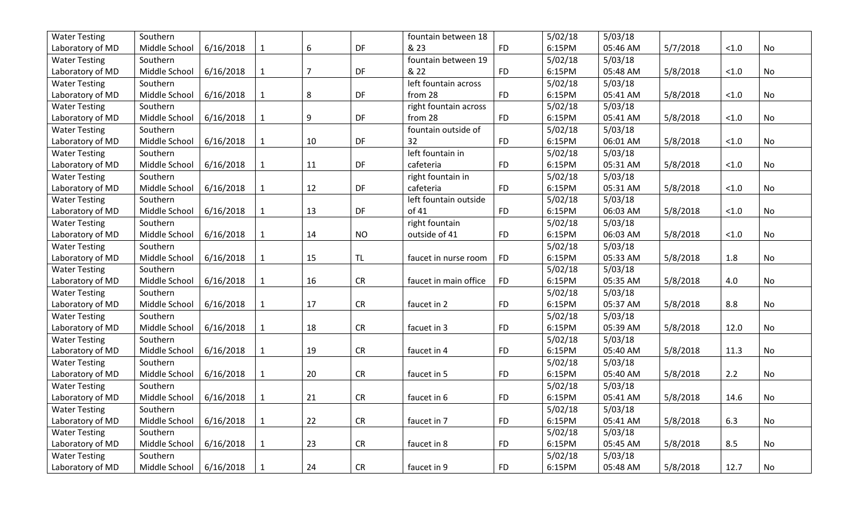| <b>Water Testing</b> | Southern                  |           |              |                |            | fountain between 18   |           | 5/02/18 | 5/03/18  |          |        |           |
|----------------------|---------------------------|-----------|--------------|----------------|------------|-----------------------|-----------|---------|----------|----------|--------|-----------|
| Laboratory of MD     | Middle School             | 6/16/2018 | 1            | 6              | DF         | & 23                  | <b>FD</b> | 6:15PM  | 05:46 AM | 5/7/2018 | < 1.0  | <b>No</b> |
| <b>Water Testing</b> | Southern                  |           |              |                |            | fountain between 19   |           | 5/02/18 | 5/03/18  |          |        |           |
| Laboratory of MD     | Middle School             | 6/16/2018 | $\mathbf 1$  | $\overline{7}$ | DF         | & 22                  | <b>FD</b> | 6:15PM  | 05:48 AM | 5/8/2018 | < 1.0  | No        |
| <b>Water Testing</b> | Southern                  |           |              |                |            | left fountain across  |           | 5/02/18 | 5/03/18  |          |        |           |
| Laboratory of MD     | Middle School             | 6/16/2018 | $\mathbf{1}$ | 8              | DF         | from 28               | <b>FD</b> | 6:15PM  | 05:41 AM | 5/8/2018 | $<1.0$ | No        |
| <b>Water Testing</b> | Southern                  |           |              |                |            | right fountain across |           | 5/02/18 | 5/03/18  |          |        |           |
| Laboratory of MD     | Middle School             | 6/16/2018 | $\mathbf{1}$ | 9              | DF         | from 28               | <b>FD</b> | 6:15PM  | 05:41 AM | 5/8/2018 | < 1.0  | No        |
| <b>Water Testing</b> | Southern                  |           |              |                |            | fountain outside of   |           | 5/02/18 | 5/03/18  |          |        |           |
| Laboratory of MD     | Middle School             | 6/16/2018 | $\mathbf{1}$ | 10             | DF         | 32                    | <b>FD</b> | 6:15PM  | 06:01 AM | 5/8/2018 | < 1.0  | <b>No</b> |
| <b>Water Testing</b> | Southern                  |           |              |                |            | left fountain in      |           | 5/02/18 | 5/03/18  |          |        |           |
| Laboratory of MD     | Middle School             | 6/16/2018 | $\mathbf{1}$ | 11             | DF         | cafeteria             | <b>FD</b> | 6:15PM  | 05:31 AM | 5/8/2018 | $<1.0$ | No        |
| <b>Water Testing</b> | Southern                  |           |              |                |            | right fountain in     |           | 5/02/18 | 5/03/18  |          |        |           |
| Laboratory of MD     | Middle School             | 6/16/2018 | $\mathbf{1}$ | 12             | DF         | cafeteria             | <b>FD</b> | 6:15PM  | 05:31 AM | 5/8/2018 | < 1.0  | No        |
| <b>Water Testing</b> | Southern                  |           |              |                |            | left fountain outside |           | 5/02/18 | 5/03/18  |          |        |           |
| Laboratory of MD     | Middle School             | 6/16/2018 | $\mathbf{1}$ | 13             | DF         | of 41                 | <b>FD</b> | 6:15PM  | 06:03 AM | 5/8/2018 | < 1.0  | No        |
| <b>Water Testing</b> | Southern                  |           |              |                |            | right fountain        |           | 5/02/18 | 5/03/18  |          |        |           |
| Laboratory of MD     | Middle School             | 6/16/2018 | $\mathbf{1}$ | 14             | <b>NO</b>  | outside of 41         | <b>FD</b> | 6:15PM  | 06:03 AM | 5/8/2018 | < 1.0  | No        |
| <b>Water Testing</b> | Southern                  |           |              |                |            |                       |           | 5/02/18 | 5/03/18  |          |        |           |
| Laboratory of MD     | Middle School             | 6/16/2018 | $\mathbf{1}$ | 15             | TL         | faucet in nurse room  | <b>FD</b> | 6:15PM  | 05:33 AM | 5/8/2018 | 1.8    | No        |
| <b>Water Testing</b> | Southern                  |           |              |                |            |                       |           | 5/02/18 | 5/03/18  |          |        |           |
| Laboratory of MD     | Middle School             | 6/16/2018 | $\mathbf{1}$ | 16             | <b>CR</b>  | faucet in main office | <b>FD</b> | 6:15PM  | 05:35 AM | 5/8/2018 | 4.0    | <b>No</b> |
| <b>Water Testing</b> | Southern                  |           |              |                |            |                       |           | 5/02/18 | 5/03/18  |          |        |           |
| Laboratory of MD     | Middle School             | 6/16/2018 | $\mathbf{1}$ | 17             | <b>CR</b>  | faucet in 2           | <b>FD</b> | 6:15PM  | 05:37 AM | 5/8/2018 | 8.8    | No        |
| <b>Water Testing</b> | Southern                  |           |              |                |            |                       |           | 5/02/18 | 5/03/18  |          |        |           |
| Laboratory of MD     | Middle School             | 6/16/2018 | $\mathbf{1}$ | 18             | <b>CR</b>  | facuet in 3           | <b>FD</b> | 6:15PM  | 05:39 AM | 5/8/2018 | 12.0   | No        |
| <b>Water Testing</b> | Southern                  |           |              |                |            |                       |           | 5/02/18 | 5/03/18  |          |        |           |
| Laboratory of MD     | Middle School             | 6/16/2018 | $\mathbf{1}$ | 19             | CR         | faucet in 4           | <b>FD</b> | 6:15PM  | 05:40 AM | 5/8/2018 | 11.3   | No        |
| <b>Water Testing</b> | Southern                  |           |              |                |            |                       |           | 5/02/18 | 5/03/18  |          |        |           |
| Laboratory of MD     | Middle School             | 6/16/2018 | $\mathbf{1}$ | 20             | CR         | faucet in 5           | <b>FD</b> | 6:15PM  | 05:40 AM | 5/8/2018 | 2.2    | No        |
| <b>Water Testing</b> | Southern                  |           |              |                |            |                       |           | 5/02/18 | 5/03/18  |          |        |           |
| Laboratory of MD     | Middle School             | 6/16/2018 | $\mathbf{1}$ | 21             | <b>CR</b>  | faucet in 6           | <b>FD</b> | 6:15PM  | 05:41 AM | 5/8/2018 | 14.6   | No        |
| <b>Water Testing</b> | Southern                  |           |              |                |            |                       |           | 5/02/18 | 5/03/18  |          |        |           |
| Laboratory of MD     | Middle School             | 6/16/2018 | $\mathbf{1}$ | 22             | <b>CR</b>  | faucet in 7           | <b>FD</b> | 6:15PM  | 05:41 AM | 5/8/2018 | 6.3    | No        |
| <b>Water Testing</b> | Southern                  |           |              |                |            |                       |           | 5/02/18 | 5/03/18  |          |        |           |
| Laboratory of MD     | Middle School             | 6/16/2018 | 1            | 23             | <b>CR</b>  | faucet in 8           | <b>FD</b> | 6:15PM  | 05:45 AM | 5/8/2018 | 8.5    | No        |
| <b>Water Testing</b> | Southern                  |           |              |                |            |                       |           | 5/02/18 | 5/03/18  |          |        |           |
| Laboratory of MD     | Middle School   6/16/2018 |           | $\mathbf{1}$ | 24             | ${\sf CR}$ | faucet in 9           | <b>FD</b> | 6:15PM  | 05:48 AM | 5/8/2018 | 12.7   | No        |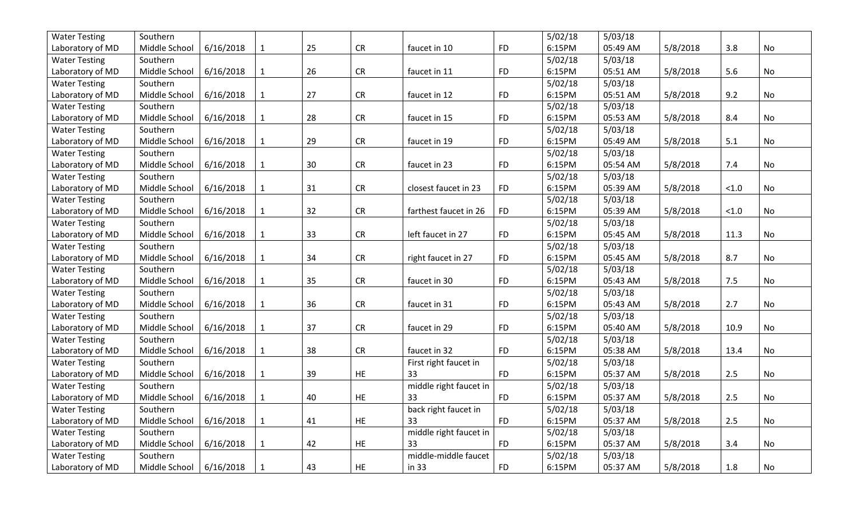| <b>Water Testing</b> | Southern      |           |              |    |            |                        |           | 5/02/18 | 5/03/18  |          |       |           |
|----------------------|---------------|-----------|--------------|----|------------|------------------------|-----------|---------|----------|----------|-------|-----------|
| Laboratory of MD     | Middle School | 6/16/2018 | 1            | 25 | <b>CR</b>  | faucet in 10           | <b>FD</b> | 6:15PM  | 05:49 AM | 5/8/2018 | 3.8   | <b>No</b> |
| <b>Water Testing</b> | Southern      |           |              |    |            |                        |           | 5/02/18 | 5/03/18  |          |       |           |
| Laboratory of MD     | Middle School | 6/16/2018 | $\mathbf 1$  | 26 | ${\sf CR}$ | faucet in 11           | <b>FD</b> | 6:15PM  | 05:51 AM | 5/8/2018 | 5.6   | No        |
| <b>Water Testing</b> | Southern      |           |              |    |            |                        |           | 5/02/18 | 5/03/18  |          |       |           |
| Laboratory of MD     | Middle School | 6/16/2018 | $\mathbf{1}$ | 27 | ${\sf CR}$ | faucet in 12           | <b>FD</b> | 6:15PM  | 05:51 AM | 5/8/2018 | 9.2   | No        |
| <b>Water Testing</b> | Southern      |           |              |    |            |                        |           | 5/02/18 | 5/03/18  |          |       |           |
| Laboratory of MD     | Middle School | 6/16/2018 | $\mathbf{1}$ | 28 | CR         | faucet in 15           | <b>FD</b> | 6:15PM  | 05:53 AM | 5/8/2018 | 8.4   | No        |
| <b>Water Testing</b> | Southern      |           |              |    |            |                        |           | 5/02/18 | 5/03/18  |          |       |           |
| Laboratory of MD     | Middle School | 6/16/2018 | $\mathbf{1}$ | 29 | <b>CR</b>  | faucet in 19           | <b>FD</b> | 6:15PM  | 05:49 AM | 5/8/2018 | 5.1   | <b>No</b> |
| <b>Water Testing</b> | Southern      |           |              |    |            |                        |           | 5/02/18 | 5/03/18  |          |       |           |
| Laboratory of MD     | Middle School | 6/16/2018 | $\mathbf{1}$ | 30 | ${\sf CR}$ | faucet in 23           | <b>FD</b> | 6:15PM  | 05:54 AM | 5/8/2018 | 7.4   | No        |
| <b>Water Testing</b> | Southern      |           |              |    |            |                        |           | 5/02/18 | 5/03/18  |          |       |           |
| Laboratory of MD     | Middle School | 6/16/2018 | $\mathbf{1}$ | 31 | ${\sf CR}$ | closest faucet in 23   | <b>FD</b> | 6:15PM  | 05:39 AM | 5/8/2018 | < 1.0 | No        |
| <b>Water Testing</b> | Southern      |           |              |    |            |                        |           | 5/02/18 | 5/03/18  |          |       |           |
| Laboratory of MD     | Middle School | 6/16/2018 | $\mathbf{1}$ | 32 | CR         | farthest faucet in 26  | <b>FD</b> | 6:15PM  | 05:39 AM | 5/8/2018 | < 1.0 | No        |
| <b>Water Testing</b> | Southern      |           |              |    |            |                        |           | 5/02/18 | 5/03/18  |          |       |           |
| Laboratory of MD     | Middle School | 6/16/2018 | $\mathbf{1}$ | 33 | CR         | left faucet in 27      | <b>FD</b> | 6:15PM  | 05:45 AM | 5/8/2018 | 11.3  | No        |
| <b>Water Testing</b> | Southern      |           |              |    |            |                        |           | 5/02/18 | 5/03/18  |          |       |           |
| Laboratory of MD     | Middle School | 6/16/2018 | $\mathbf{1}$ | 34 | ${\sf CR}$ | right faucet in 27     | <b>FD</b> | 6:15PM  | 05:45 AM | 5/8/2018 | 8.7   | No        |
| <b>Water Testing</b> | Southern      |           |              |    |            |                        |           | 5/02/18 | 5/03/18  |          |       |           |
| Laboratory of MD     | Middle School | 6/16/2018 | $\mathbf{1}$ | 35 | <b>CR</b>  | faucet in 30           | <b>FD</b> | 6:15PM  | 05:43 AM | 5/8/2018 | 7.5   | <b>No</b> |
| <b>Water Testing</b> | Southern      |           |              |    |            |                        |           | 5/02/18 | 5/03/18  |          |       |           |
| Laboratory of MD     | Middle School | 6/16/2018 | $\mathbf{1}$ | 36 | <b>CR</b>  | faucet in 31           | <b>FD</b> | 6:15PM  | 05:43 AM | 5/8/2018 | 2.7   | No        |
| <b>Water Testing</b> | Southern      |           |              |    |            |                        |           | 5/02/18 | 5/03/18  |          |       |           |
| Laboratory of MD     | Middle School | 6/16/2018 | $\mathbf{1}$ | 37 | <b>CR</b>  | faucet in 29           | <b>FD</b> | 6:15PM  | 05:40 AM | 5/8/2018 | 10.9  | No        |
| <b>Water Testing</b> | Southern      |           |              |    |            |                        |           | 5/02/18 | 5/03/18  |          |       |           |
| Laboratory of MD     | Middle School | 6/16/2018 | $\mathbf{1}$ | 38 | CR         | faucet in 32           | <b>FD</b> | 6:15PM  | 05:38 AM | 5/8/2018 | 13.4  | No        |
| <b>Water Testing</b> | Southern      |           |              |    |            | First right faucet in  |           | 5/02/18 | 5/03/18  |          |       |           |
| Laboratory of MD     | Middle School | 6/16/2018 | $\mathbf{1}$ | 39 | HE         | 33                     | <b>FD</b> | 6:15PM  | 05:37 AM | 5/8/2018 | $2.5$ | No        |
| <b>Water Testing</b> | Southern      |           |              |    |            | middle right faucet in |           | 5/02/18 | 5/03/18  |          |       |           |
| Laboratory of MD     | Middle School | 6/16/2018 | $\mathbf{1}$ | 40 | <b>HE</b>  | 33                     | <b>FD</b> | 6:15PM  | 05:37 AM | 5/8/2018 | 2.5   | No        |
| <b>Water Testing</b> | Southern      |           |              |    |            | back right faucet in   |           | 5/02/18 | 5/03/18  |          |       |           |
| Laboratory of MD     | Middle School | 6/16/2018 | $\mathbf{1}$ | 41 | <b>HE</b>  | 33                     | <b>FD</b> | 6:15PM  | 05:37 AM | 5/8/2018 | 2.5   | No        |
| <b>Water Testing</b> | Southern      |           |              |    |            | middle right faucet in |           | 5/02/18 | 5/03/18  |          |       |           |
| Laboratory of MD     | Middle School | 6/16/2018 | $\mathbf{1}$ | 42 | <b>HE</b>  | 33                     | <b>FD</b> | 6:15PM  | 05:37 AM | 5/8/2018 | 3.4   | No        |
| <b>Water Testing</b> | Southern      |           |              |    |            | middle-middle faucet   |           | 5/02/18 | 5/03/18  |          |       |           |
| Laboratory of MD     | Middle School | 6/16/2018 | $\mathbf{1}$ | 43 | HE         | in 33                  | <b>FD</b> | 6:15PM  | 05:37 AM | 5/8/2018 | 1.8   | No        |